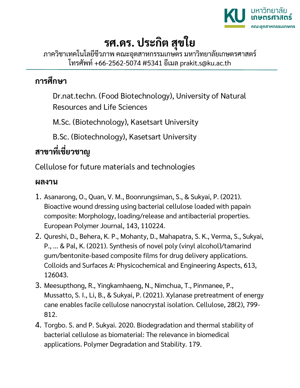

## **รศ.ดร. ประกิต สุขใย**

ภาควิชาเทคโนโลยีชีวภาพ คณะอุตสาหกรรมเกษตร มหาวิทยาลัยเกษตรศาสตร์ โทรศัพท์ +66-2562-5074 #5341 อีเมล prakit.s@ku.ac.th

## **การศึกษา**

Dr.nat.techn. (Food Biotechnology), University of Natural Resources and Life Sciences

M.Sc. (Biotechnology), Kasetsart University

B.Sc. (Biotechnology), Kasetsart University

## **สาขาที่เชี่ยวชาญ**

Cellulose for future materials and technologies

## **ผลงาน**

- 1. Asanarong, O., Quan, V. M., Boonrungsiman, S., & Sukyai, P. (2021). Bioactive wound dressing using bacterial cellulose loaded with papain composite: Morphology, loading/release and antibacterial properties. European Polymer Journal, 143, 110224.
- 2. Qureshi, D., Behera, K. P., Mohanty, D., Mahapatra, S. K., Verma, S., Sukyai, P., ... & Pal, K. (2021). Synthesis of novel poly (vinyl alcohol)/tamarind gum/bentonite-based composite films for drug delivery applications. Colloids and Surfaces A: Physicochemical and Engineering Aspects, 613, 126043.
- 3. Meesupthong, R., Yingkamhaeng, N., Nimchua, T., Pinmanee, P., Mussatto, S. I., Li, B., & Sukyai, P. (2021). Xylanase pretreatment of energy cane enables facile cellulose nanocrystal isolation. Cellulose, 28(2), 799- 812.
- 4. Torgbo. S. and P. Sukyai. 2020. Biodegradation and thermal stability of bacterial cellulose as biomaterial: The relevance in biomedical applications. Polymer Degradation and Stability. 179.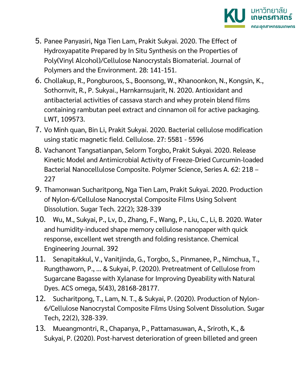

- 5. Panee Panyasiri, Nga Tien Lam, Prakit Sukyai. 2020. The Effect of Hydroxyapatite Prepared by In Situ Synthesis on the Properties of Poly(Vinyl Alcohol)/Cellulose Nanocrystals Biomaterial. Journal of Polymers and the Environment. 28: 141-151.
- 6. Chollakup, R., Pongburoos, S., Boonsong, W., Khanoonkon, N., Kongsin, K., Sothornvit, R., P. Sukyai., Harnkarnsujarit, N. 2020. Antioxidant and antibacterial activities of cassava starch and whey protein blend films containing rambutan peel extract and cinnamon oil for active packaging. LWT, 109573.
- 7. Vo Minh quan, Bin Li, Prakit Sukyai. 2020. Bacterial cellulose modification using static magnetic field. Cellulose. 27: 5581 - 5596
- 8. Vachanont Tangsatianpan, Selorm Torgbo, Prakit Sukyai. 2020. Release Kinetic Model and Antimicrobial Activity of Freeze-Dried Curcumin-loaded Bacterial Nanocellulose Composite. Polymer Science, Series A. 62: 218 – 227
- 9. Thamonwan Sucharitpong, Nga Tien Lam, Prakit Sukyai. 2020. Production of Nylon-6/Cellulose Nanocrystal Composite Films Using Solvent Dissolution. Sugar Tech. 22(2); 328-339
- 10. Wu, M., Sukyai, P., Lv, D., Zhang, F., Wang, P., Liu, C., Li, B. 2020. Water and humidity-induced shape memory cellulose nanopaper with quick response, excellent wet strength and folding resistance. Chemical Engineering Journal. 392
- 11. Senapitakkul, V., Vanitjinda, G., Torgbo, S., Pinmanee, P., Nimchua, T., Rungthaworn, P., ... & Sukyai, P. (2020). Pretreatment of Cellulose from Sugarcane Bagasse with Xylanase for Improving Dyeability with Natural Dyes. ACS omega, 5(43), 28168-28177.
- 12. Sucharitpong, T., Lam, N. T., & Sukyai, P. (2020). Production of Nylon-6/Cellulose Nanocrystal Composite Films Using Solvent Dissolution. Sugar Tech, 22(2), 328-339.
- 13. Mueangmontri, R., Chapanya, P., Pattamasuwan, A., Sriroth, K., & Sukyai, P. (2020). Post-harvest deterioration of green billeted and green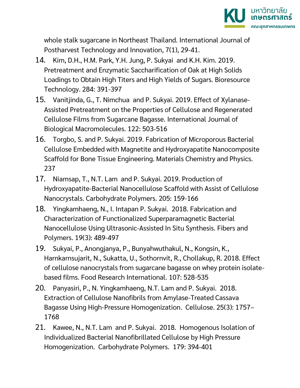

whole stalk sugarcane in Northeast Thailand. International Journal of Postharvest Technology and Innovation, 7(1), 29-41.

- 14. Kim, D.H., H.M. Park, Y.H. Jung, P. Sukyai and K.H. Kim. 2019. Pretreatment and Enzymatic Saccharification of Oak at High Solids Loadings to Obtain High Titers and High Yields of Sugars. Bioresource Technology. 284: 391-397
- 15. Vanitjinda, G., T. Nimchua and P. Sukyai. 2019. Effect of Xylanase-Assisted Pretreatment on the Properties of Cellulose and Regenerated Cellulose Films from Sugarcane Bagasse. International Journal of Biological Macromolecules. 122: 503-516
- 16. Torgbo, S. and P. Sukyai. 2019. Fabrication of Microporous Bacterial Cellulose Embedded with Magnetite and Hydroxyapatite Nanocomposite Scaffold for Bone Tissue Engineering. Materials Chemistry and Physics. 237
- 17. Niamsap, T., N.T. Lam and P. Sukyai. 2019. Production of Hydroxyapatite-Bacterial Nanocellulose Scaffold with Assist of Cellulose Nanocrystals. Carbohydrate Polymers. 205: 159-166
- 18. Yingkamhaeng, N., I. Intapan P. Sukyai. 2018. Fabrication and Characterization of Functionalized Superparamagnetic Bacterial Nanocellulose Using Ultrasonic-Assisted In Situ Synthesis. Fibers and Polymers. 19(3): 489-497
- 19. Sukyai, P., Anongjanya, P., Bunyahwuthakul, N., Kongsin, K., Harnkarnsujarit, N., Sukatta, U., Sothornvit, R., Chollakup, R. 2018. Effect of cellulose nanocrystals from sugarcane bagasse on whey protein isolatebased films. Food Research International. 107: 528-535
- 20. Panyasiri, P., N. Yingkamhaeng, N.T. Lam and P. Sukyai. 2018. Extraction of Cellulose Nanofibrils from Amylase-Treated Cassava Bagasse Using High-Pressure Homogenization. Cellulose. 25(3): 1757– 1768
- 21. Kawee, N., N.T. Lam and P. Sukyai. 2018. Homogenous Isolation of Individualized Bacterial Nanofibrillated Cellulose by High Pressure Homogenization. Carbohydrate Polymers. 179: 394-401